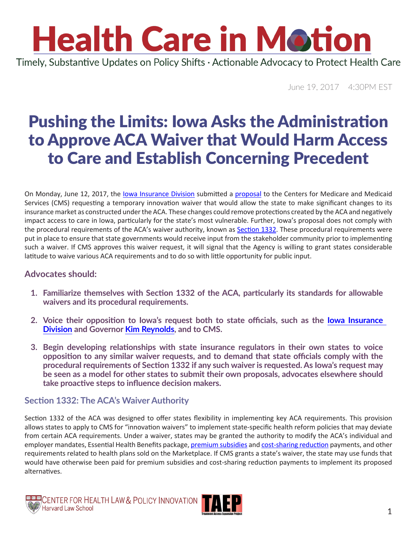### **Health Care in Motion** Timely, Substantive Updates on Policy Shifts · Actionable Advocacy to Protect Health Care

June 19, 2017 4:30PM EST

### Pushing the Limits: Iowa Asks the Administration to Approve ACA Waiver that Would Harm Access to Care and Establish Concerning Precedent

On Monday, June 12, 2017, the lowa Insurance Division submitted a [proposal](https://iid.iowa.gov/press-releases/iowa-seeks-federal-approval-of-health-insurance-stopgap-measure) to the Centers for Medicare and Medicaid Services (CMS) requesting a temporary innovation waiver that would allow the state to make significant changes to its insurance market as constructed under the ACA. These changes could remove protections created by the ACA and negatively impact access to care in Iowa, particularly for the state's most vulnerable. Further, Iowa's proposal does not comply with the procedural requirements of the ACA's waiver authority, known as [Section 1332.](https://www.cms.gov/CCIIO/Programs-and-Initiatives/State-Innovation-Waivers/Section_1332_State_Innovation_Waivers-.html) These procedural requirements were put in place to ensure that state governments would receive input from the stakeholder community prior to implementing such a waiver. If CMS approves this waiver request, it will signal that the Agency is willing to grant states considerable latitude to waive various ACA requirements and to do so with little opportunity for public input.

#### **Advocates should:**

- **1. Familiarize themselves with Section 1332 of the ACA, particularly its standards for allowable waivers and its procedural requirements.**
- **2. Voice their opposition to Iowa's request both to state officials, such as the [Iowa Insurance](https://iid.iowa.gov/contact)  [Division](https://iid.iowa.gov/contact) and Governor [Kim Reynolds](https://governor.iowa.gov/contact), and to CMS.**
- **3. Begin developing relationships with state insurance regulators in their own states to voice opposition to any similar waiver requests, and to demand that state officials comply with the procedural requirements of Section 1332 if any such waiver is requested. As Iowa's request may be seen as a model for other states to submit their own proposals, advocates elsewhere should take proactive steps to influence decision makers.**

#### **Section 1332: The ACA's Waiver Authority**

Section 1332 of the ACA was designed to offer states flexibility in implementing key ACA requirements. This provision allows states to apply to CMS for "innovation waivers" to implement state-specific health reform policies that may deviate from certain ACA requirements. Under a waiver, states may be granted the authority to modify the ACA's individual and employer mandates, Essential Health Benefits package, [premium subsidies](https://www.healthcare.gov/lower-costs/save-on-monthly-premiums/) and [cost-sharing reduction](https://www.healthcare.gov/glossary/cost-sharing-reduction/) payments, and other requirements related to health plans sold on the Marketplace. If CMS grants a state's waiver, the state may use funds that would have otherwise been paid for premium subsidies and cost-sharing reduction payments to implement its proposed alternatives.



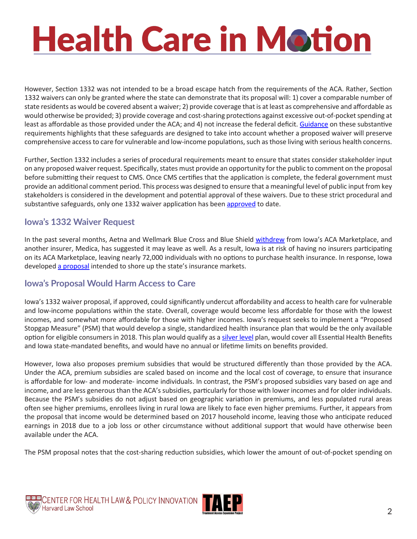# **Health Care in Motion**

However, Section 1332 was not intended to be a broad escape hatch from the requirements of the ACA. Rather, Section 1332 waivers can only be granted where the state can demonstrate that its proposal will: 1) cover a comparable number of state residents as would be covered absent a waiver; 2) provide coverage that is at least as comprehensive and affordable as would otherwise be provided; 3) provide coverage and cost-sharing protections against excessive out-of-pocket spending at least as affordable as those provided under the ACA; and 4) not increase the federal deficit. [Guidance](https://www.federalregister.gov/documents/2015/12/16/2015-31563/waivers-for-state-innovation) on these substantive requirements highlights that these safeguards are designed to take into account whether a proposed waiver will preserve comprehensive access to care for vulnerable and low-income populations, such as those living with serious health concerns.

Further, Section 1332 includes a series of procedural requirements meant to ensure that states consider stakeholder input on any proposed waiver request. Specifically, states must provide an opportunity for the public to comment on the proposal before submitting their request to CMS. Once CMS certifies that the application is complete, the federal government must provide an additional comment period. This process was designed to ensure that a meaningful level of public input from key stakeholders is considered in the development and potential approval of these waivers. Due to these strict procedural and substantive safeguards, only one 1332 waiver application has been [approved](https://www.cms.gov/CCIIO/Programs-and-Initiatives/State-Innovation-Waivers/Downloads/Hawaii-1332-Waiver-Fact-Sheet-12-30-16-FINAL.pdf) to date.

#### **Iowa's 1332 Waiver Request**

In the past several months, Aetna and Wellmark Blue Cross and Blue Shield [withdrew](https://www.usatoday.com/story/news/nation-now/2017/05/03/iowa-health-insurers-obamacare/309955001/) from Iowa's ACA Marketplace, and another insurer, Medica, has suggested it may leave as well. As a result, Iowa is at risk of having no insurers participating on its ACA Marketplace, leaving nearly 72,000 individuals with no options to purchase health insurance. In response, Iowa developed [a proposal](https://iid.iowa.gov/documents/the-state-of-iowa%E2%80%99s-proposed-stopgap-measure-for-the-individual-health-insurance-market) intended to shore up the state's insurance markets.

#### **Iowa's Proposal Would Harm Access to Care**

Iowa's 1332 waiver proposal, if approved, could significantly undercut affordability and access to health care for vulnerable and low-income populations within the state. Overall, coverage would become less affordable for those with the lowest incomes, and somewhat more affordable for those with higher incomes. Iowa's request seeks to implement a "Proposed Stopgap Measure" (PSM) that would develop a single, standardized health insurance plan that would be the only available option for eligible consumers in 2018. This plan would qualify as a [silver level](https://www.healthcare.gov/glossary/silver-health-plan/) plan, would cover all Essential Health Benefits and Iowa state-mandated benefits, and would have no annual or lifetime limits on benefits provided.

However, Iowa also proposes premium subsidies that would be structured differently than those provided by the ACA. Under the ACA, premium subsidies are scaled based on income and the local cost of coverage, to ensure that insurance is affordable for low- and moderate- income individuals. In contrast, the PSM's proposed subsidies vary based on age and income, and are less generous than the ACA's subsidies, particularly for those with lower incomes and for older individuals. Because the PSM's subsidies do not adjust based on geographic variation in premiums, and less populated rural areas often see higher premiums, enrollees living in rural Iowa are likely to face even higher premiums. Further, it appears from the proposal that income would be determined based on 2017 household income, leaving those who anticipate reduced earnings in 2018 due to a job loss or other circumstance without additional support that would have otherwise been available under the ACA.

The PSM proposal notes that the cost-sharing reduction subsidies, which lower the amount of out-of-pocket spending on



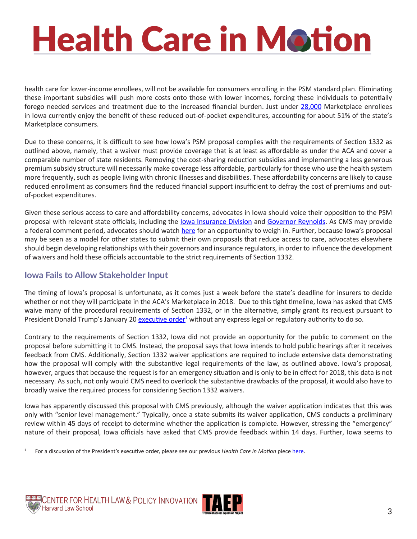## **Health Care in Motion**

health care for lower-income enrollees, will not be available for consumers enrolling in the PSM standard plan. Eliminating these important subsidies will push more costs onto those with lower incomes, forcing these individuals to potentially forego needed services and treatment due to the increased financial burden. Just under [28,000](http://www.cbpp.org/blog/interactive-map-cost-sharing-subsidies-at-risk-under-house-gop-health-bill) Marketplace enrollees in Iowa currently enjoy the benefit of these reduced out-of-pocket expenditures, accounting for about 51% of the state's Marketplace consumers.

Due to these concerns, it is difficult to see how Iowa's PSM proposal complies with the requirements of Section 1332 as outlined above, namely, that a waiver must provide coverage that is at least as affordable as under the ACA and cover a comparable number of state residents. Removing the cost-sharing reduction subsidies and implementing a less generous premium subsidy structure will necessarily make coverage less affordable, particularly for those who use the health system more frequently, such as people living with chronic illnesses and disabilities. These affordability concerns are likely to cause reduced enrollment as consumers find the reduced financial support insufficient to defray the cost of premiums and outof-pocket expenditures.

Given these serious access to care and affordability concerns, advocates in Iowa should voice their opposition to the PSM proposal with relevant state officials, including the [Iowa Insurance Division](https://iid.iowa.gov/contact) and [Governor Reynolds.](https://governor.iowa.gov/contact) As CMS may provide a federal comment period, advocates should watch [here](https://www.cms.gov/CCIIO/Programs-and-Initiatives/State-Innovation-Waivers/Section_1332_State_Innovation_Waivers-.html) for an opportunity to weigh in. Further, because Iowa's proposal may be seen as a model for other states to submit their own proposals that reduce access to care, advocates elsewhere should begin developing relationships with their governors and insurance regulators, in order to influence the development of waivers and hold these officials accountable to the strict requirements of Section 1332.

#### **Iowa Fails to Allow Stakeholder Input**

The timing of Iowa's proposal is unfortunate, as it comes just a week before the state's deadline for insurers to decide whether or not they will participate in the ACA's Marketplace in 2018. Due to this tight timeline, Iowa has asked that CMS waive many of the procedural requirements of Section 1332, or in the alternative, simply grant its request pursuant to President Donald Trump's January 20 <u>executive order<sup>1</sup></u> without any express legal or regulatory authority to do so.

Contrary to the requirements of Section 1332, Iowa did not provide an opportunity for the public to comment on the proposal before submitting it to CMS. Instead, the proposal says that Iowa intends to hold public hearings after it receives feedback from CMS. Additionally, Section 1332 waiver applications are required to include extensive data demonstrating how the proposal will comply with the substantive legal requirements of the law, as outlined above. Iowa's proposal, however, argues that because the request is for an emergency situation and is only to be in effect for 2018, this data is not necessary. As such, not only would CMS need to overlook the substantive drawbacks of the proposal, it would also have to broadly waive the required process for considering Section 1332 waivers.

Iowa has apparently discussed this proposal with CMS previously, although the waiver application indicates that this was only with "senior level management." Typically, once a state submits its waiver application, CMS conducts a preliminary review within 45 days of receipt to determine whether the application is complete. However, stressing the "emergency" nature of their proposal, Iowa officials have asked that CMS provide feedback within 14 days. Further, Iowa seems to

1 For a discussion of the President's executive order, please see our previous *Health Care in Motion* piece [here](http://www.chlpi.org/wp-content/uploads/2013/12/Health-Care-in-Motion_01_23_2017_.pdf).